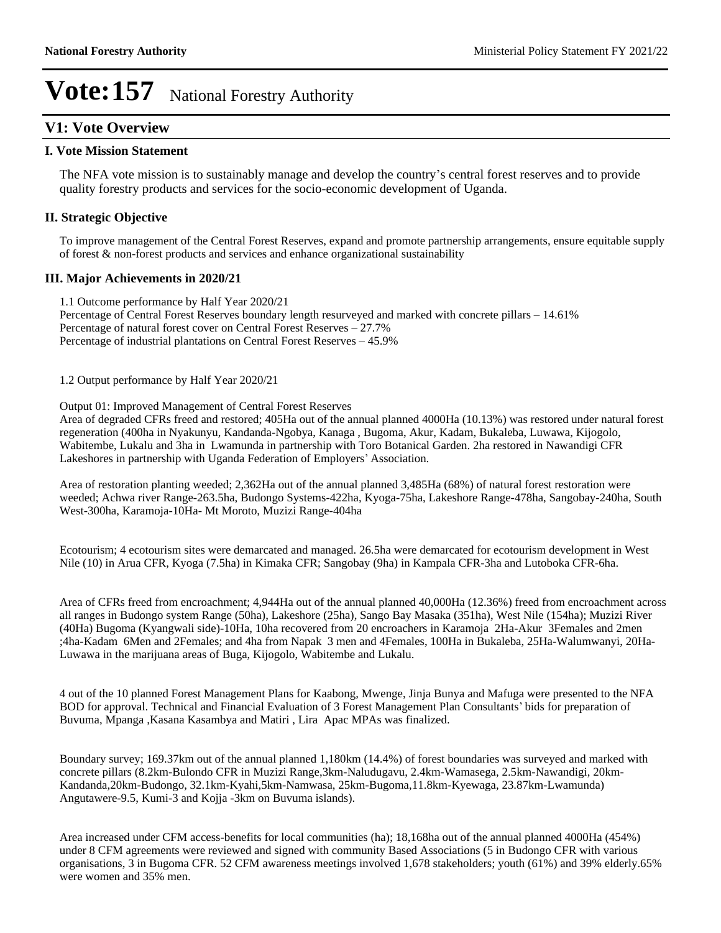#### **V1: Vote Overview**

#### **I. Vote Mission Statement**

The NFA vote mission is to sustainably manage and develop the country's central forest reserves and to provide quality forestry products and services for the socio-economic development of Uganda.

#### **II. Strategic Objective**

To improve management of the Central Forest Reserves, expand and promote partnership arrangements, ensure equitable supply of forest & non-forest products and services and enhance organizational sustainability

#### **III. Major Achievements in 2020/21**

1.1 Outcome performance by Half Year 2020/21

Percentage of Central Forest Reserves boundary length resurveyed and marked with concrete pillars - 14.61% Percentage of natural forest cover on Central Forest Reserves  $-27.7\%$ Percentage of industrial plantations on Central Forest Reserves – 45.9%

1.2 Output performance by Half Year 2020/21

#### Output 01: Improved Management of Central Forest Reserves

Area of degraded CFRs freed and restored; 405Ha out of the annual planned 4000Ha (10.13%) was restored under natural forest regeneration (400ha in Nyakunyu, Kandanda-Ngobya, Kanaga , Bugoma, Akur, Kadam, Bukaleba, Luwawa, Kijogolo, Wabitembe, Lukalu and 3ha in Lwamunda in partnership with Toro Botanical Garden. 2ha restored in Nawandigi CFR Lakeshores in partnership with Uganda Federation of Employers' Association.

Area of restoration planting weeded; 2,362Ha out of the annual planned 3,485Ha (68%) of natural forest restoration were weeded; Achwa river Range-263.5ha, Budongo Systems-422ha, Kyoga-75ha, Lakeshore Range-478ha, Sangobay-240ha, South West-300ha, Karamoja-10Ha- Mt Moroto, Muzizi Range-404ha

Ecotourism; 4 ecotourism sites were demarcated and managed. 26.5ha were demarcated for ecotourism development in West Nile (10) in Arua CFR, Kyoga (7.5ha) in Kimaka CFR; Sangobay (9ha) in Kampala CFR-3ha and Lutoboka CFR-6ha.

Area of CFRs freed from encroachment; 4,944Ha out of the annual planned 40,000Ha (12.36%) freed from encroachment across all ranges in Budongo system Range (50ha), Lakeshore (25ha), Sango Bay Masaka (351ha), West Nile (154ha); Muzizi River (40Ha) Bugoma (Kyangwali side)-10Ha, 10ha recovered from 20 encroachers in Karamoja 2Ha-Akur 3Females and 2men ;4ha-Kadam 6Men and 2Females; and 4ha from Napak 3 men and 4Females, 100Ha in Bukaleba, 25Ha-Walumwanyi, 20Ha-Luwawa in the marijuana areas of Buga, Kijogolo, Wabitembe and Lukalu.

4 out of the 10 planned Forest Management Plans for Kaabong, Mwenge, Jinja Bunya and Mafuga were presented to the NFA BOD for approval. Technical and Financial Evaluation of 3 Forest Management Plan Consultants' bids for preparation of Buvuma, Mpanga ,Kasana Kasambya and Matiri , Lira Apac MPAs was finalized.

Boundary survey; 169.37km out of the annual planned 1,180km (14.4%) of forest boundaries was surveyed and marked with concrete pillars (8.2km-Bulondo CFR in Muzizi Range,3km-Naludugavu, 2.4km-Wamasega, 2.5km-Nawandigi, 20km-Kandanda,20km-Budongo, 32.1km-Kyahi,5km-Namwasa, 25km-Bugoma,11.8km-Kyewaga, 23.87km-Lwamunda) Angutawere-9.5, Kumi-3 and Kojja -3km on Buvuma islands).

Area increased under CFM access-benefits for local communities (ha); 18,168ha out of the annual planned 4000Ha (454%) under 8 CFM agreements were reviewed and signed with community Based Associations (5 in Budongo CFR with various organisations, 3 in Bugoma CFR. 52 CFM awareness meetings involved 1,678 stakeholders; youth (61%) and 39% elderly.65% were women and 35% men.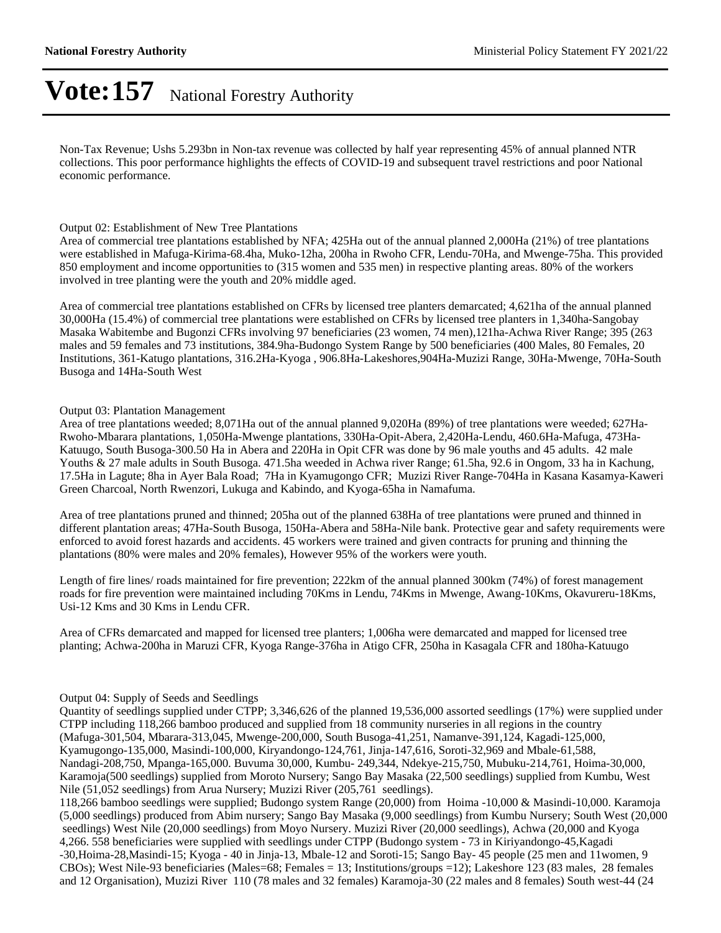Non-Tax Revenue; Ushs 5.293bn in Non-tax revenue was collected by half year representing 45% of annual planned NTR collections. This poor performance highlights the effects of COVID-19 and subsequent travel restrictions and poor National economic performance.

#### Output 02: Establishment of New Tree Plantations

Area of commercial tree plantations established by NFA; 425Ha out of the annual planned 2,000Ha (21%) of tree plantations were established in Mafuga-Kirima-68.4ha, Muko-12ha, 200ha in Rwoho CFR, Lendu-70Ha, and Mwenge-75ha. This provided 850 employment and income opportunities to (315 women and 535 men) in respective planting areas. 80% of the workers involved in tree planting were the youth and 20% middle aged.

Area of commercial tree plantations established on CFRs by licensed tree planters demarcated; 4,621ha of the annual planned 30,000Ha (15.4%) of commercial tree plantations were established on CFRs by licensed tree planters in 1,340ha-Sangobay Masaka Wabitembe and Bugonzi CFRs involving 97 beneficiaries (23 women, 74 men),121ha-Achwa River Range; 395 (263 males and 59 females and 73 institutions, 384.9ha-Budongo System Range by 500 beneficiaries (400 Males, 80 Females, 20 Institutions, 361-Katugo plantations, 316.2Ha-Kyoga , 906.8Ha-Lakeshores,904Ha-Muzizi Range, 30Ha-Mwenge, 70Ha-South Busoga and 14Ha-South West

#### Output 03: Plantation Management

Area of tree plantations weeded; 8,071Ha out of the annual planned 9,020Ha (89%) of tree plantations were weeded; 627Ha-Rwoho-Mbarara plantations, 1,050Ha-Mwenge plantations, 330Ha-Opit-Abera, 2,420Ha-Lendu, 460.6Ha-Mafuga, 473Ha-Katuugo, South Busoga-300.50 Ha in Abera and 220Ha in Opit CFR was done by 96 male youths and 45 adults. 42 male Youths & 27 male adults in South Busoga. 471.5ha weeded in Achwa river Range; 61.5ha, 92.6 in Ongom, 33 ha in Kachung, 17.5Ha in Lagute; 8ha in Ayer Bala Road; 7Ha in Kyamugongo CFR; Muzizi River Range-704Ha in Kasana Kasamya-Kaweri Green Charcoal, North Rwenzori, Lukuga and Kabindo, and Kyoga-65ha in Namafuma.

Area of tree plantations pruned and thinned; 205ha out of the planned 638Ha of tree plantations were pruned and thinned in different plantation areas; 47Ha-South Busoga, 150Ha-Abera and 58Ha-Nile bank. Protective gear and safety requirements were enforced to avoid forest hazards and accidents. 45 workers were trained and given contracts for pruning and thinning the plantations (80% were males and 20% females), However 95% of the workers were youth.

Length of fire lines/ roads maintained for fire prevention; 222km of the annual planned 300km (74%) of forest management roads for fire prevention were maintained including 70Kms in Lendu, 74Kms in Mwenge, Awang-10Kms, Okavureru-18Kms, Usi-12 Kms and 30 Kms in Lendu CFR.

Area of CFRs demarcated and mapped for licensed tree planters; 1,006ha were demarcated and mapped for licensed tree planting; Achwa-200ha in Maruzi CFR, Kyoga Range-376ha in Atigo CFR, 250ha in Kasagala CFR and 180ha-Katuugo

#### Output 04: Supply of Seeds and Seedlings

Quantity of seedlings supplied under CTPP; 3,346,626 of the planned 19,536,000 assorted seedlings (17%) were supplied under CTPP including 118,266 bamboo produced and supplied from 18 community nurseries in all regions in the country (Mafuga-301,504, Mbarara-313,045, Mwenge-200,000, South Busoga-41,251, Namanve-391,124, Kagadi-125,000, Kyamugongo-135,000, Masindi-100,000, Kiryandongo-124,761, Jinja-147,616, Soroti-32,969 and Mbale-61,588, Nandagi-208,750, Mpanga-165,000. Buvuma 30,000, Kumbu- 249,344, Ndekye-215,750, Mubuku-214,761, Hoima-30,000, Karamoja(500 seedlings) supplied from Moroto Nursery; Sango Bay Masaka (22,500 seedlings) supplied from Kumbu, West Nile (51,052 seedlings) from Arua Nursery; Muzizi River (205,761 seedlings).

118,266 bamboo seedlings were supplied; Budongo system Range (20,000) from Hoima -10,000 & Masindi-10,000. Karamoja (5,000 seedlings) produced from Abim nursery; Sango Bay Masaka (9,000 seedlings) from Kumbu Nursery; South West (20,000 seedlings) West Nile (20,000 seedlings) from Moyo Nursery. Muzizi River (20,000 seedlings), Achwa (20,000 and Kyoga 4,266. 558 beneficiaries were supplied with seedlings under CTPP (Budongo system - 73 in Kiriyandongo-45,Kagadi -30,Hoima-28,Masindi-15; Kyoga - 40 in Jinja-13, Mbale-12 and Soroti-15; Sango Bay- 45 people (25 men and 11women, 9 CBOs); West Nile-93 beneficiaries (Males=68; Females = 13; Institutions/groups = 12); Lakeshore 123 (83 males, 28 females and 12 Organisation), Muzizi River 110 (78 males and 32 females) Karamoja-30 (22 males and 8 females) South west-44 (24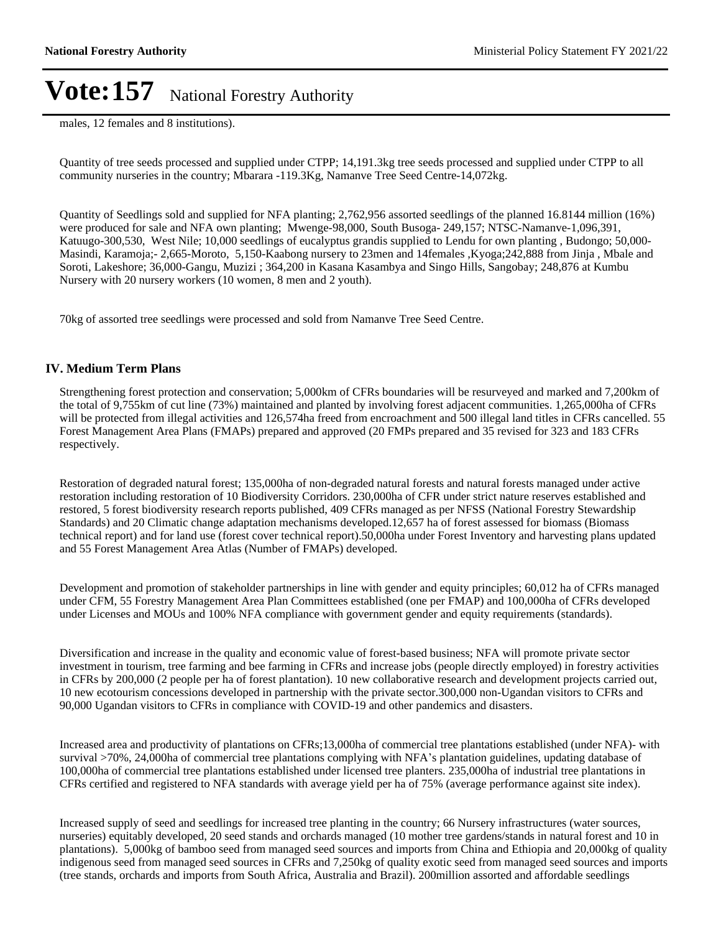males, 12 females and 8 institutions).

Quantity of tree seeds processed and supplied under CTPP; 14,191.3kg tree seeds processed and supplied under CTPP to all community nurseries in the country; Mbarara -119.3Kg, Namanve Tree Seed Centre-14,072kg.

Quantity of Seedlings sold and supplied for NFA planting; 2,762,956 assorted seedlings of the planned 16.8144 million (16%) were produced for sale and NFA own planting; Mwenge-98,000, South Busoga- 249,157; NTSC-Namanve-1,096,391, Katuugo-300,530, West Nile; 10,000 seedlings of eucalyptus grandis supplied to Lendu for own planting , Budongo; 50,000- Masindi, Karamoja;- 2,665-Moroto, 5,150-Kaabong nursery to 23men and 14females ,Kyoga;242,888 from Jinja , Mbale and Soroti, Lakeshore; 36,000-Gangu, Muzizi ; 364,200 in Kasana Kasambya and Singo Hills, Sangobay; 248,876 at Kumbu Nursery with 20 nursery workers (10 women, 8 men and 2 youth).

70kg of assorted tree seedlings were processed and sold from Namanve Tree Seed Centre.

#### **IV. Medium Term Plans**

Strengthening forest protection and conservation; 5,000km of CFRs boundaries will be resurveyed and marked and 7,200km of the total of 9,755km of cut line (73%) maintained and planted by involving forest adjacent communities. 1,265,000ha of CFRs will be protected from illegal activities and 126,574ha freed from encroachment and 500 illegal land titles in CFRs cancelled. 55 Forest Management Area Plans (FMAPs) prepared and approved (20 FMPs prepared and 35 revised for 323 and 183 CFRs respectively.

Restoration of degraded natural forest; 135,000ha of non-degraded natural forests and natural forests managed under active restoration including restoration of 10 Biodiversity Corridors. 230,000ha of CFR under strict nature reserves established and restored, 5 forest biodiversity research reports published, 409 CFRs managed as per NFSS (National Forestry Stewardship Standards) and 20 Climatic change adaptation mechanisms developed.12,657 ha of forest assessed for biomass (Biomass technical report) and for land use (forest cover technical report).50,000ha under Forest Inventory and harvesting plans updated and 55 Forest Management Area Atlas (Number of FMAPs) developed.

Development and promotion of stakeholder partnerships in line with gender and equity principles; 60,012 ha of CFRs managed under CFM, 55 Forestry Management Area Plan Committees established (one per FMAP) and 100,000ha of CFRs developed under Licenses and MOUs and 100% NFA compliance with government gender and equity requirements (standards).

Diversification and increase in the quality and economic value of forest-based business; NFA will promote private sector investment in tourism, tree farming and bee farming in CFRs and increase jobs (people directly employed) in forestry activities in CFRs by 200,000 (2 people per ha of forest plantation). 10 new collaborative research and development projects carried out, 10 new ecotourism concessions developed in partnership with the private sector.300,000 non-Ugandan visitors to CFRs and 90,000 Ugandan visitors to CFRs in compliance with COVID-19 and other pandemics and disasters.

Increased area and productivity of plantations on CFRs;13,000ha of commercial tree plantations established (under NFA)- with survival >70%, 24,000ha of commercial tree plantations complying with NFA's plantation guidelines, updating database of 100,000ha of commercial tree plantations established under licensed tree planters. 235,000ha of industrial tree plantations in CFRs certified and registered to NFA standards with average yield per ha of 75% (average performance against site index).

Increased supply of seed and seedlings for increased tree planting in the country; 66 Nursery infrastructures (water sources, nurseries) equitably developed, 20 seed stands and orchards managed (10 mother tree gardens/stands in natural forest and 10 in plantations). 5,000kg of bamboo seed from managed seed sources and imports from China and Ethiopia and 20,000kg of quality indigenous seed from managed seed sources in CFRs and 7,250kg of quality exotic seed from managed seed sources and imports (tree stands, orchards and imports from South Africa, Australia and Brazil). 200million assorted and affordable seedlings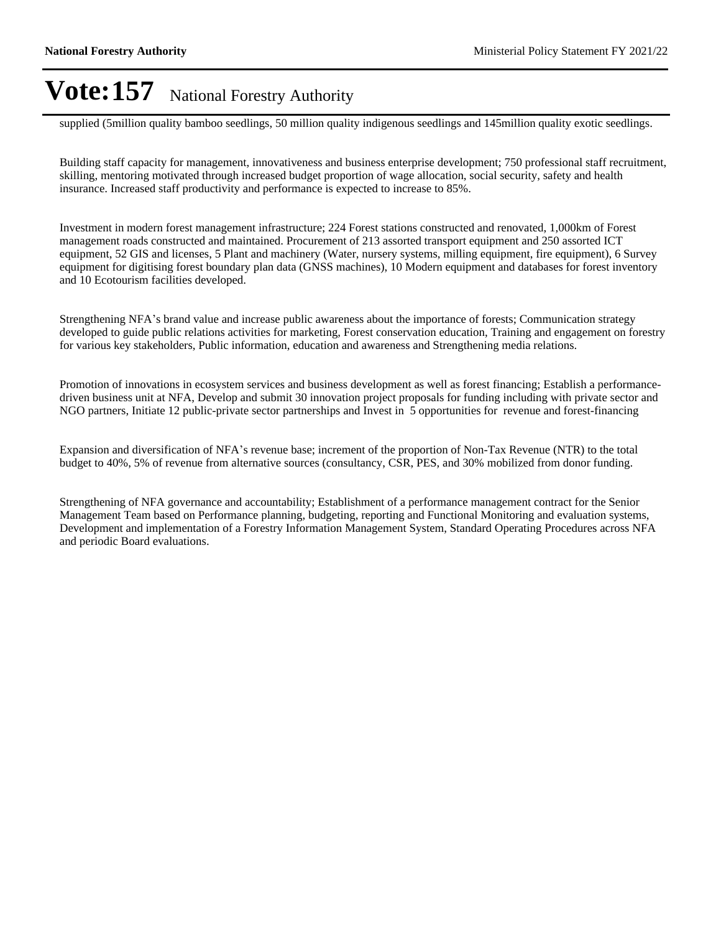supplied (5million quality bamboo seedlings, 50 million quality indigenous seedlings and 145million quality exotic seedlings.

Building staff capacity for management, innovativeness and business enterprise development; 750 professional staff recruitment, skilling, mentoring motivated through increased budget proportion of wage allocation, social security, safety and health insurance. Increased staff productivity and performance is expected to increase to 85%.

Investment in modern forest management infrastructure; 224 Forest stations constructed and renovated, 1,000km of Forest management roads constructed and maintained. Procurement of 213 assorted transport equipment and 250 assorted ICT equipment, 52 GIS and licenses, 5 Plant and machinery (Water, nursery systems, milling equipment, fire equipment), 6 Survey equipment for digitising forest boundary plan data (GNSS machines), 10 Modern equipment and databases for forest inventory and 10 Ecotourism facilities developed.

Strengthening NFA's brand value and increase public awareness about the importance of forests; Communication strategy developed to guide public relations activities for marketing, Forest conservation education, Training and engagement on forestry for various key stakeholders, Public information, education and awareness and Strengthening media relations.

Promotion of innovations in ecosystem services and business development as well as forest financing; Establish a performancedriven business unit at NFA, Develop and submit 30 innovation project proposals for funding including with private sector and NGO partners, Initiate 12 public-private sector partnerships and Invest in 5 opportunities for revenue and forest-financing

Expansion and diversification of NFA's revenue base; increment of the proportion of Non-Tax Revenue (NTR) to the total budget to 40%, 5% of revenue from alternative sources (consultancy, CSR, PES, and 30% mobilized from donor funding.

Strengthening of NFA governance and accountability; Establishment of a performance management contract for the Senior Management Team based on Performance planning, budgeting, reporting and Functional Monitoring and evaluation systems, Development and implementation of a Forestry Information Management System, Standard Operating Procedures across NFA and periodic Board evaluations.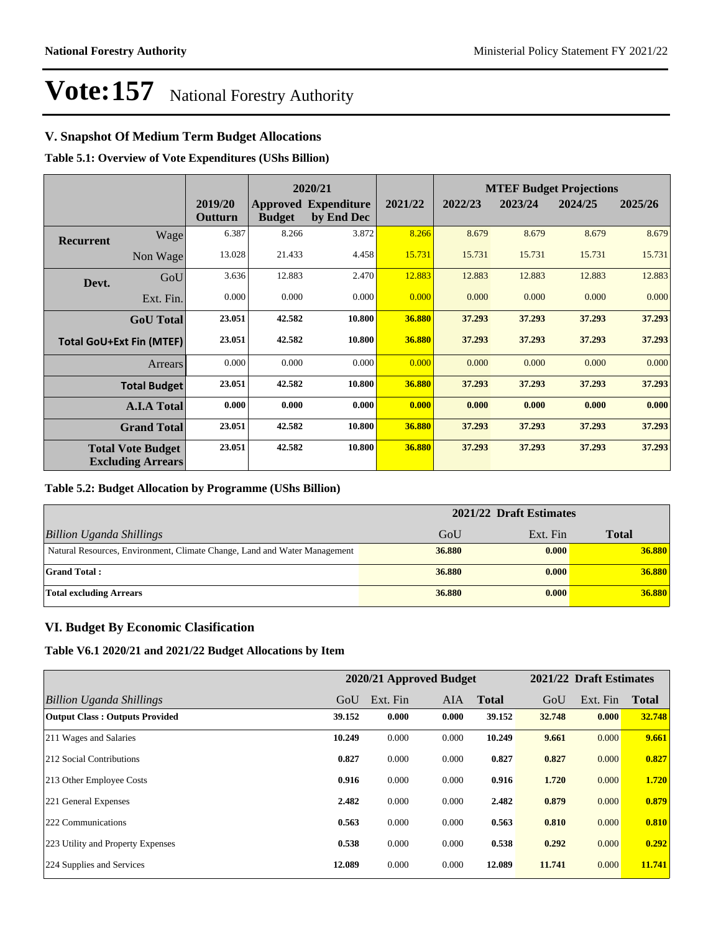#### **V. Snapshot Of Medium Term Budget Allocations**

**Table 5.1: Overview of Vote Expenditures (UShs Billion)**

|                  |                                                      |                    | 2020/21       |                                           |         |         |         | <b>MTEF Budget Projections</b> |         |
|------------------|------------------------------------------------------|--------------------|---------------|-------------------------------------------|---------|---------|---------|--------------------------------|---------|
|                  |                                                      | 2019/20<br>Outturn | <b>Budget</b> | <b>Approved Expenditure</b><br>by End Dec | 2021/22 | 2022/23 | 2023/24 | 2024/25                        | 2025/26 |
| <b>Recurrent</b> | Wage                                                 | 6.387              | 8.266         | 3.872                                     | 8.266   | 8.679   | 8.679   | 8.679                          | 8.679   |
|                  | Non Wage                                             | 13.028             | 21.433        | 4.458                                     | 15.731  | 15.731  | 15.731  | 15.731                         | 15.731  |
| Devt.            | GoU                                                  | 3.636              | 12.883        | 2.470                                     | 12.883  | 12.883  | 12.883  | 12.883                         | 12.883  |
|                  | Ext. Fin.                                            | 0.000              | 0.000         | 0.000                                     | 0.000   | 0.000   | 0.000   | 0.000                          | 0.000   |
|                  | <b>GoU</b> Total                                     | 23.051             | 42.582        | 10.800                                    | 36.880  | 37.293  | 37.293  | 37.293                         | 37.293  |
|                  | <b>Total GoU+Ext Fin (MTEF)</b>                      | 23.051             | 42.582        | 10.800                                    | 36.880  | 37.293  | 37.293  | 37.293                         | 37.293  |
|                  | Arrears                                              | 0.000              | 0.000         | 0.000                                     | 0.000   | 0.000   | 0.000   | 0.000                          | 0.000   |
|                  | <b>Total Budget</b>                                  | 23.051             | 42.582        | 10.800                                    | 36.880  | 37.293  | 37.293  | 37.293                         | 37.293  |
|                  | <b>A.I.A Total</b>                                   | 0.000              | 0.000         | 0.000                                     | 0.000   | 0.000   | 0.000   | 0.000                          | 0.000   |
|                  | <b>Grand Total</b>                                   | 23.051             | 42.582        | 10.800                                    | 36.880  | 37.293  | 37.293  | 37.293                         | 37.293  |
|                  | <b>Total Vote Budget</b><br><b>Excluding Arrears</b> | 23.051             | 42.582        | 10.800                                    | 36.880  | 37.293  | 37.293  | 37.293                         | 37.293  |

#### **Table 5.2: Budget Allocation by Programme (UShs Billion)**

|                                                                           | 2021/22 Draft Estimates |          |              |
|---------------------------------------------------------------------------|-------------------------|----------|--------------|
| Billion Uganda Shillings                                                  | GoU                     | Ext. Fin | <b>Total</b> |
| Natural Resources, Environment, Climate Change, Land and Water Management | 36.880                  | 0.000    | 36.880       |
| <b>Grand Total:</b>                                                       | 36.880                  | 0.000    | 36.880       |
| Total excluding Arrears                                                   | 36.880                  | 0.000    | 36.880       |

#### **VI. Budget By Economic Clasification**

**Table V6.1 2020/21 and 2021/22 Budget Allocations by Item**

|                                       |        | 2020/21 Approved Budget |       |              |        | 2021/22 Draft Estimates |              |
|---------------------------------------|--------|-------------------------|-------|--------------|--------|-------------------------|--------------|
| Billion Uganda Shillings              | GoU    | Ext. Fin                | AIA   | <b>Total</b> | GoU    | Ext. Fin                | <b>Total</b> |
| <b>Output Class: Outputs Provided</b> | 39.152 | 0.000                   | 0.000 | 39.152       | 32.748 | 0.000                   | 32.748       |
| 211 Wages and Salaries                | 10.249 | 0.000                   | 0.000 | 10.249       | 9.661  | 0.000                   | 9.661        |
| 212 Social Contributions              | 0.827  | 0.000                   | 0.000 | 0.827        | 0.827  | 0.000                   | 0.827        |
| 213 Other Employee Costs              | 0.916  | 0.000                   | 0.000 | 0.916        | 1.720  | 0.000                   | 1.720        |
| 221 General Expenses                  | 2.482  | 0.000                   | 0.000 | 2.482        | 0.879  | 0.000                   | 0.879        |
| 222 Communications                    | 0.563  | 0.000                   | 0.000 | 0.563        | 0.810  | 0.000                   | 0.810        |
| 223 Utility and Property Expenses     | 0.538  | 0.000                   | 0.000 | 0.538        | 0.292  | 0.000                   | 0.292        |
| 224 Supplies and Services             | 12.089 | 0.000                   | 0.000 | 12.089       | 11.741 | 0.000                   | 11.741       |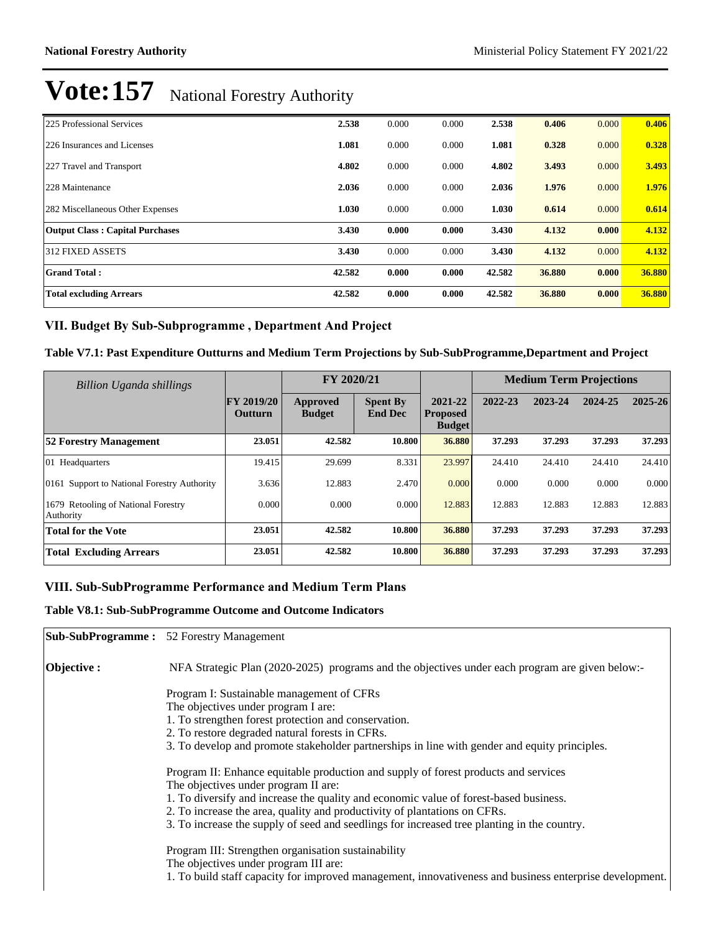| 225 Professional Services              | 2.538  | 0.000 | 0.000 | 2.538  | 0.406  | 0.000 | 0.406  |
|----------------------------------------|--------|-------|-------|--------|--------|-------|--------|
| 226 Insurances and Licenses            | 1.081  | 0.000 | 0.000 | 1.081  | 0.328  | 0.000 | 0.328  |
| 227 Travel and Transport               | 4.802  | 0.000 | 0.000 | 4.802  | 3.493  | 0.000 | 3.493  |
| 228 Maintenance                        | 2.036  | 0.000 | 0.000 | 2.036  | 1.976  | 0.000 | 1.976  |
| 282 Miscellaneous Other Expenses       | 1.030  | 0.000 | 0.000 | 1.030  | 0.614  | 0.000 | 0.614  |
| <b>Output Class: Capital Purchases</b> | 3.430  | 0.000 | 0.000 | 3.430  | 4.132  | 0.000 | 4.132  |
| 312 FIXED ASSETS                       | 3.430  | 0.000 | 0.000 | 3.430  | 4.132  | 0.000 | 4.132  |
| <b>Grand Total:</b>                    | 42.582 | 0.000 | 0.000 | 42.582 | 36.880 | 0.000 | 36.880 |
| <b>Total excluding Arrears</b>         | 42.582 | 0.000 | 0.000 | 42.582 | 36.880 | 0.000 | 36.880 |

#### VII. Budget By Sub-Subprogramme, Department And Project

#### **Table V7.1: Past Expenditure Outturns and Medium Term Projections by Sub-SubProgramme,Department and Project**

| Billion Uganda shillings                                   |                              | FY 2020/21                |                                   |                                             |         | <b>Medium Term Projections</b> |         |         |
|------------------------------------------------------------|------------------------------|---------------------------|-----------------------------------|---------------------------------------------|---------|--------------------------------|---------|---------|
|                                                            | <b>FY 2019/20</b><br>Outturn | Approved<br><b>Budget</b> | <b>Spent By</b><br><b>End Dec</b> | 2021-22<br><b>Proposed</b><br><b>Budget</b> | 2022-23 | 2023-24                        | 2024-25 | 2025-26 |
| <b>52 Forestry Management</b>                              | 23.051                       | 42.582                    | 10.800                            | 36.880                                      | 37.293  | 37.293                         | 37.293  | 37.293  |
| 01 Headquarters                                            | 19.415                       | 29.699                    | 8.331                             | 23.997                                      | 24.410  | 24.410                         | 24.410  | 24.410  |
| 0161 Support to National Forestry Authority                | 3.636                        | 12.883                    | 2.470                             | 0.000                                       | 0.000   | 0.000                          | 0.000   | 0.000   |
| <b>Retooling of National Forestry</b><br>1679<br>Authority | 0.000                        | 0.000                     | 0.000                             | 12.883                                      | 12.883  | 12.883                         | 12.883  | 12.883  |
| <b>Total for the Vote</b>                                  | 23.051                       | 42.582                    | 10.800                            | 36.880                                      | 37.293  | 37.293                         | 37.293  | 37.293  |
| <b>Total Excluding Arrears</b>                             | 23.051                       | 42.582                    | 10.800                            | 36.880                                      | 37.293  | 37.293                         | 37.293  | 37.293  |

#### VIII. Sub-SubProgramme Performance and Medium Term Plans

#### **Table V8.1: Sub-SubProgramme Outcome and Outcome Indicators**

|             | <b>Sub-SubProgramme:</b> 52 Forestry Management                                                         |
|-------------|---------------------------------------------------------------------------------------------------------|
| Objective : | NFA Strategic Plan (2020-2025) programs and the objectives under each program are given below:-         |
|             | Program I: Sustainable management of CFRs                                                               |
|             | The objectives under program I are:                                                                     |
|             | 1. To strengthen forest protection and conservation.                                                    |
|             | 2. To restore degraded natural forests in CFRs.                                                         |
|             | 3. To develop and promote stakeholder partnerships in line with gender and equity principles.           |
|             | Program II: Enhance equitable production and supply of forest products and services                     |
|             | The objectives under program II are:                                                                    |
|             | 1. To diversify and increase the quality and economic value of forest-based business.                   |
|             | 2. To increase the area, quality and productivity of plantations on CFRs.                               |
|             | 3. To increase the supply of seed and seedlings for increased tree planting in the country.             |
|             | Program III: Strengthen organisation sustainability                                                     |
|             | The objectives under program III are:                                                                   |
|             | 1. To build staff capacity for improved management, innovativeness and business enterprise development. |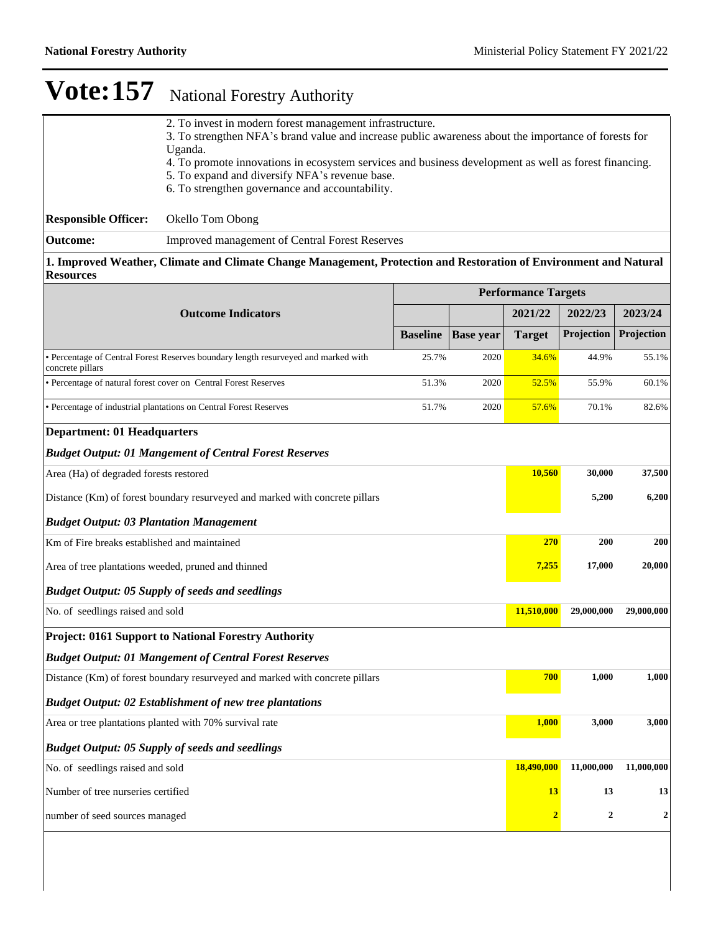|                                                                              | 2. To invest in modern forest management infrastructure.<br>3. To strengthen NFA's brand value and increase public awareness about the importance of forests for |                 |                  |                            |                  |                  |
|------------------------------------------------------------------------------|------------------------------------------------------------------------------------------------------------------------------------------------------------------|-----------------|------------------|----------------------------|------------------|------------------|
|                                                                              | Uganda.                                                                                                                                                          |                 |                  |                            |                  |                  |
|                                                                              | 4. To promote innovations in ecosystem services and business development as well as forest financing.<br>5. To expand and diversify NFA's revenue base.          |                 |                  |                            |                  |                  |
|                                                                              | 6. To strengthen governance and accountability.                                                                                                                  |                 |                  |                            |                  |                  |
| <b>Responsible Officer:</b>                                                  | Okello Tom Obong                                                                                                                                                 |                 |                  |                            |                  |                  |
| <b>Outcome:</b>                                                              | Improved management of Central Forest Reserves                                                                                                                   |                 |                  |                            |                  |                  |
| <b>Resources</b>                                                             | 1. Improved Weather, Climate and Climate Change Management, Protection and Restoration of Environment and Natural                                                |                 |                  |                            |                  |                  |
|                                                                              |                                                                                                                                                                  |                 |                  | <b>Performance Targets</b> |                  |                  |
|                                                                              | <b>Outcome Indicators</b>                                                                                                                                        |                 |                  | 2021/22                    | 2022/23          | 2023/24          |
|                                                                              |                                                                                                                                                                  | <b>Baseline</b> | <b>Base year</b> | <b>Target</b>              | Projection       | Projection       |
| concrete pillars                                                             | • Percentage of Central Forest Reserves boundary length resurveyed and marked with                                                                               | 25.7%           | 2020             | 34.6%                      | 44.9%            | 55.1%            |
|                                                                              | • Percentage of natural forest cover on Central Forest Reserves                                                                                                  | 51.3%           | 2020             | 52.5%                      | 55.9%            | 60.1%            |
|                                                                              | • Percentage of industrial plantations on Central Forest Reserves                                                                                                | 51.7%           | 2020             | 57.6%                      | 70.1%            | 82.6%            |
| <b>Department: 01 Headquarters</b>                                           |                                                                                                                                                                  |                 |                  |                            |                  |                  |
|                                                                              | <b>Budget Output: 01 Mangement of Central Forest Reserves</b>                                                                                                    |                 |                  |                            |                  |                  |
| Area (Ha) of degraded forests restored                                       |                                                                                                                                                                  |                 |                  | 10,560                     | 30,000           | 37,500           |
|                                                                              | Distance (Km) of forest boundary resurveyed and marked with concrete pillars                                                                                     |                 |                  |                            | 5,200            | 6,200            |
| <b>Budget Output: 03 Plantation Management</b>                               |                                                                                                                                                                  |                 |                  |                            |                  |                  |
| Km of Fire breaks established and maintained                                 |                                                                                                                                                                  |                 |                  | 270                        | 200              | 200              |
| Area of tree plantations weeded, pruned and thinned                          |                                                                                                                                                                  |                 |                  | 7,255                      | 17,000           | 20,000           |
|                                                                              | <b>Budget Output: 05 Supply of seeds and seedlings</b>                                                                                                           |                 |                  |                            |                  |                  |
| No. of seedlings raised and sold                                             |                                                                                                                                                                  |                 |                  | 11,510,000                 | 29,000,000       | 29,000,000       |
|                                                                              | <b>Project: 0161 Support to National Forestry Authority</b>                                                                                                      |                 |                  |                            |                  |                  |
|                                                                              | <b>Budget Output: 01 Mangement of Central Forest Reserves</b>                                                                                                    |                 |                  |                            |                  |                  |
| Distance (Km) of forest boundary resurveyed and marked with concrete pillars |                                                                                                                                                                  |                 |                  | 700                        | 1,000            | 1,000            |
| <b>Budget Output: 02 Establishment of new tree plantations</b>               |                                                                                                                                                                  |                 |                  |                            |                  |                  |
| Area or tree plantations planted with 70% survival rate                      |                                                                                                                                                                  |                 |                  | 1,000                      | 3,000            | 3,000            |
|                                                                              | <b>Budget Output: 05 Supply of seeds and seedlings</b>                                                                                                           |                 |                  |                            |                  |                  |
| No. of seedlings raised and sold                                             |                                                                                                                                                                  |                 |                  | 18,490,000                 | 11,000,000       | 11,000,000       |
| Number of tree nurseries certified                                           |                                                                                                                                                                  |                 |                  | 13                         | 13               | 13               |
| number of seed sources managed                                               |                                                                                                                                                                  |                 |                  | $\overline{2}$             | $\boldsymbol{2}$ | $\boldsymbol{2}$ |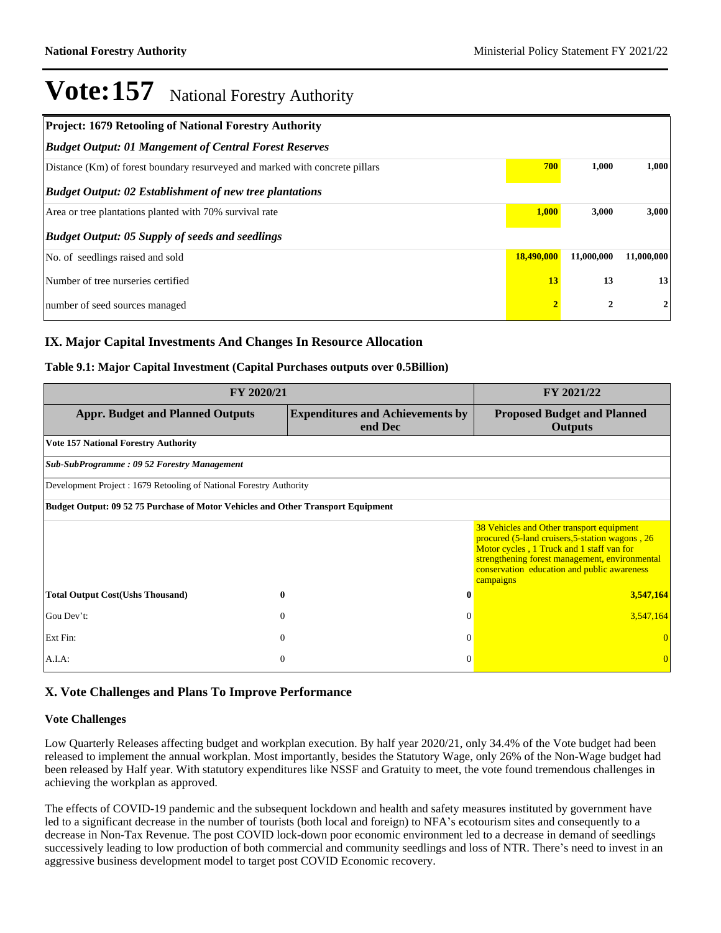| <b>Project: 1679 Retooling of National Forestry Authority</b>                |            |                  |            |
|------------------------------------------------------------------------------|------------|------------------|------------|
| <b>Budget Output: 01 Mangement of Central Forest Reserves</b>                |            |                  |            |
| Distance (Km) of forest boundary resurveyed and marked with concrete pillars | 700        | 1,000            | 1,000      |
| <b>Budget Output: 02 Establishment of new tree plantations</b>               |            |                  |            |
| Area or tree plantations planted with 70% survival rate                      | 1,000      | 3,000            | 3,000      |
| <b>Budget Output: 05 Supply of seeds and seedlings</b>                       |            |                  |            |
| No. of seedlings raised and sold                                             | 18,490,000 | 11,000,000       | 11,000,000 |
| Number of tree nurseries certified                                           | 13         | 13               | 13         |
| number of seed sources managed                                               |            | $\boldsymbol{2}$ | 2          |

#### **IX. Major Capital Investments And Changes In Resource Allocation**

#### **Table 9.1: Major Capital Investment (Capital Purchases outputs over 0.5Billion)**

| FY 2020/21                                                                       | FY 2021/22                                         |                                                                                                                                                                                                                                                         |
|----------------------------------------------------------------------------------|----------------------------------------------------|---------------------------------------------------------------------------------------------------------------------------------------------------------------------------------------------------------------------------------------------------------|
| <b>Appr. Budget and Planned Outputs</b>                                          | <b>Expenditures and Achievements by</b><br>end Dec | <b>Proposed Budget and Planned</b><br><b>Outputs</b>                                                                                                                                                                                                    |
| <b>Vote 157 National Forestry Authority</b>                                      |                                                    |                                                                                                                                                                                                                                                         |
| Sub-SubProgramme: 09 52 Forestry Management                                      |                                                    |                                                                                                                                                                                                                                                         |
| Development Project: 1679 Retooling of National Forestry Authority               |                                                    |                                                                                                                                                                                                                                                         |
| Budget Output: 09 52 75 Purchase of Motor Vehicles and Other Transport Equipment |                                                    |                                                                                                                                                                                                                                                         |
|                                                                                  |                                                    | 38 Vehicles and Other transport equipment<br>procured (5-land cruisers, 5-station wagons, 26<br>Motor cycles, 1 Truck and 1 staff van for<br>strengthening forest management, environmental<br>conservation education and public awareness<br>campaigns |
| <b>Total Output Cost(Ushs Thousand)</b><br>0                                     | 0                                                  | 3,547,164                                                                                                                                                                                                                                               |
| Gou Dev't:<br>$\theta$                                                           | $\Omega$                                           | 3,547,164                                                                                                                                                                                                                                               |
| Ext Fin:<br>$\overline{0}$                                                       | $\Omega$                                           |                                                                                                                                                                                                                                                         |
| $\mathbf{0}$<br>A.I.A.                                                           | $\Omega$                                           |                                                                                                                                                                                                                                                         |

#### **X. Vote Challenges and Plans To Improve Performance**

#### **Vote Challenges**

Low Quarterly Releases affecting budget and workplan execution. By half year 2020/21, only 34.4% of the Vote budget had been released to implement the annual workplan. Most importantly, besides the Statutory Wage, only 26% of the Non-Wage budget had been released by Half year. With statutory expenditures like NSSF and Gratuity to meet, the vote found tremendous challenges in achieving the workplan as approved.

The effects of COVID-19 pandemic and the subsequent lockdown and health and safety measures instituted by government have led to a significant decrease in the number of tourists (both local and foreign) to NFA's ecotourism sites and consequently to a decrease in Non-Tax Revenue. The post COVID lock-down poor economic environment led to a decrease in demand of seedlings successively leading to low production of both commercial and community seedlings and loss of NTR. There's need to invest in an aggressive business development model to target post COVID Economic recovery.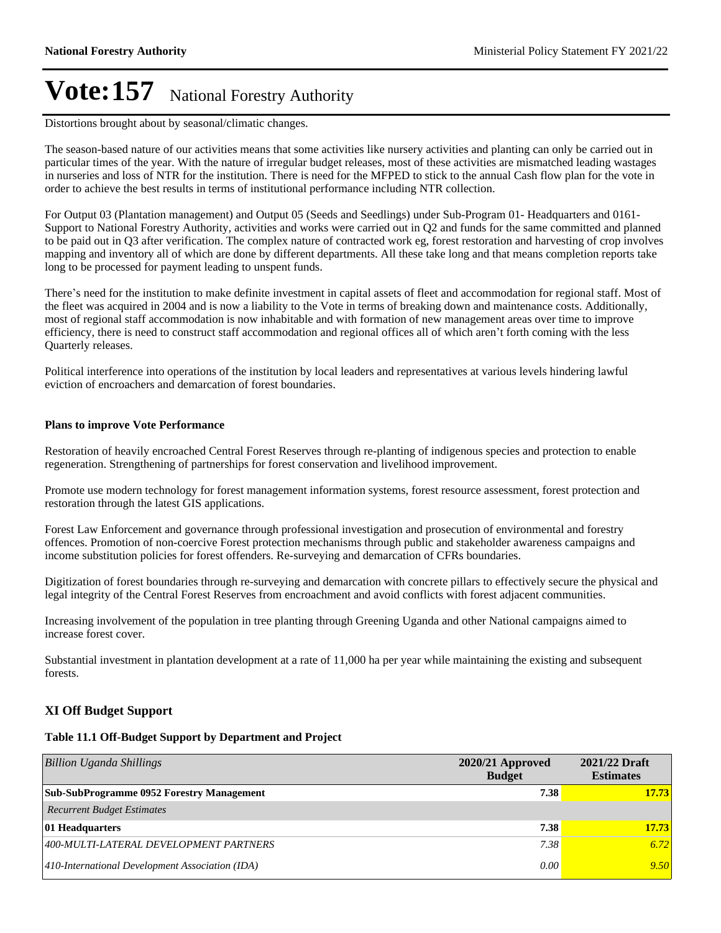Distortions brought about by seasonal/climatic changes.

The season-based nature of our activities means that some activities like nursery activities and planting can only be carried out in particular times of the year. With the nature of irregular budget releases, most of these activities are mismatched leading wastages in nurseries and loss of NTR for the institution. There is need for the MFPED to stick to the annual Cash flow plan for the vote in order to achieve the best results in terms of institutional performance including NTR collection.

For Output 03 (Plantation management) and Output 05 (Seeds and Seedlings) under Sub-Program 01- Headquarters and 0161- Support to National Forestry Authority, activities and works were carried out in Q2 and funds for the same committed and planned to be paid out in Q3 after verification. The complex nature of contracted work eg, forest restoration and harvesting of crop involves mapping and inventory all of which are done by different departments. All these take long and that means completion reports take long to be processed for payment leading to unspent funds.

There's need for the institution to make definite investment in capital assets of fleet and accommodation for regional staff. Most of the fleet was acquired in 2004 and is now a liability to the Vote in terms of breaking down and maintenance costs. Additionally, most of regional staff accommodation is now inhabitable and with formation of new management areas over time to improve efficiency, there is need to construct staff accommodation and regional offices all of which aren't forth coming with the less Quarterly releases.

Political interference into operations of the institution by local leaders and representatives at various levels hindering lawful eviction of encroachers and demarcation of forest boundaries.

#### **Plans to improve Vote Performance**

Restoration of heavily encroached Central Forest Reserves through re-planting of indigenous species and protection to enable regeneration. Strengthening of partnerships for forest conservation and livelihood improvement.

Promote use modern technology for forest management information systems, forest resource assessment, forest protection and restoration through the latest GIS applications.

Forest Law Enforcement and governance through professional investigation and prosecution of environmental and forestry offences. Promotion of non-coercive Forest protection mechanisms through public and stakeholder awareness campaigns and income substitution policies for forest offenders. Re-surveying and demarcation of CFRs boundaries.

Digitization of forest boundaries through re-surveying and demarcation with concrete pillars to effectively secure the physical and legal integrity of the Central Forest Reserves from encroachment and avoid conflicts with forest adjacent communities.

Increasing involvement of the population in tree planting through Greening Uganda and other National campaigns aimed to increase forest cover.

Substantial investment in plantation development at a rate of 11,000 ha per year while maintaining the existing and subsequent forests.

#### **XI Off Budget Support**

#### **Table 11.1 Off-Budget Support by Department and Project**

| Billion Uganda Shillings                         | $2020/21$ Approved<br><b>Budget</b> | 2021/22 Draft<br><b>Estimates</b> |
|--------------------------------------------------|-------------------------------------|-----------------------------------|
| <b>Sub-SubProgramme 0952 Forestry Management</b> | 7.38                                | 17.73                             |
| <b>Recurrent Budget Estimates</b>                |                                     |                                   |
| <b>01 Headquarters</b>                           | 7.38                                | 17.73                             |
| 400-MULTI-LATERAL DEVELOPMENT PARTNERS           | 7.38                                | 6.72                              |
| 410-International Development Association (IDA)  | 0.00                                | 9.50                              |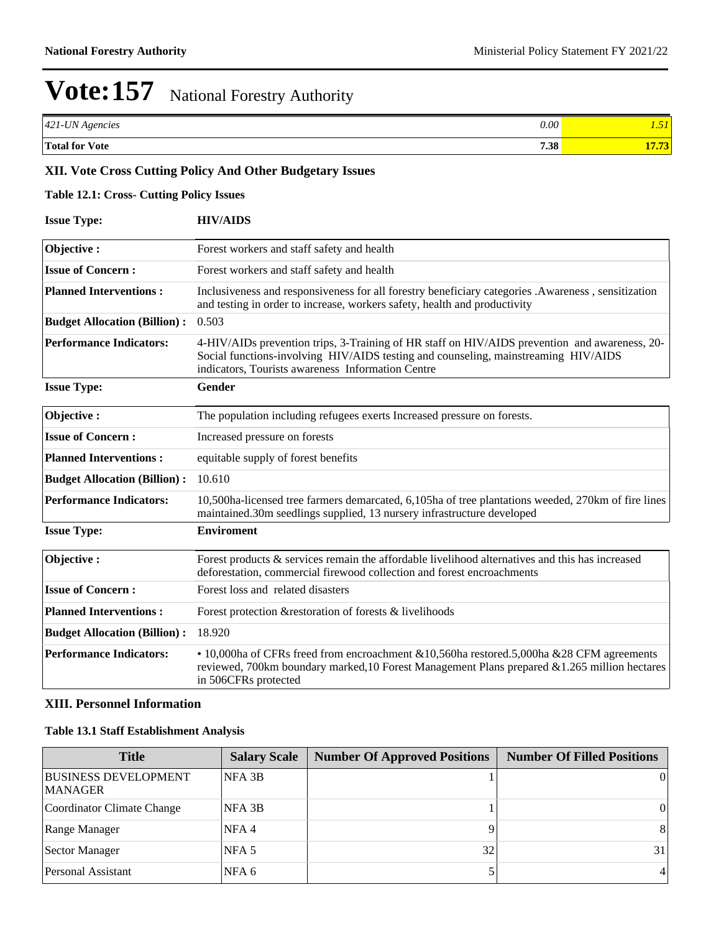| 421-UN Agencies       | 0.00 <sup>1</sup> | $-1$       |
|-----------------------|-------------------|------------|
| <b>Total for Vote</b> | 7.38              | . <i>.</i> |

#### **XII. Vote Cross Cutting Policy And Other Budgetary Issues**

#### **Table 12.1: Cross- Cutting Policy Issues**

| <b>Issue Type:</b>                  | <b>HIV/AIDS</b>                                                                                                                                                                                                                          |
|-------------------------------------|------------------------------------------------------------------------------------------------------------------------------------------------------------------------------------------------------------------------------------------|
| Objective:                          | Forest workers and staff safety and health                                                                                                                                                                                               |
| <b>Issue of Concern:</b>            | Forest workers and staff safety and health                                                                                                                                                                                               |
| <b>Planned Interventions:</b>       | Inclusiveness and responsiveness for all forestry beneficiary categories .Awareness, sensitization<br>and testing in order to increase, workers safety, health and productivity                                                          |
| <b>Budget Allocation (Billion):</b> | 0.503                                                                                                                                                                                                                                    |
| <b>Performance Indicators:</b>      | 4-HIV/AIDs prevention trips, 3-Training of HR staff on HIV/AIDS prevention and awareness, 20-<br>Social functions-involving HIV/AIDS testing and counseling, mainstreaming HIV/AIDS<br>indicators, Tourists awareness Information Centre |
| <b>Issue Type:</b>                  | <b>Gender</b>                                                                                                                                                                                                                            |
| Objective:                          | The population including refugees exerts Increased pressure on forests.                                                                                                                                                                  |
| <b>Issue of Concern:</b>            | Increased pressure on forests                                                                                                                                                                                                            |
| <b>Planned Interventions:</b>       | equitable supply of forest benefits                                                                                                                                                                                                      |
| <b>Budget Allocation (Billion):</b> | 10.610                                                                                                                                                                                                                                   |
| <b>Performance Indicators:</b>      | 10,500ha-licensed tree farmers demarcated, 6,105ha of tree plantations weeded, 270km of fire lines<br>maintained.30m seedlings supplied, 13 nursery infrastructure developed                                                             |
| <b>Issue Type:</b>                  | <b>Enviroment</b>                                                                                                                                                                                                                        |
| Objective:                          | Forest products & services remain the affordable livelihood alternatives and this has increased<br>deforestation, commercial firewood collection and forest encroachments                                                                |
| <b>Issue of Concern:</b>            | Forest loss and related disasters                                                                                                                                                                                                        |
| <b>Planned Interventions:</b>       | Forest protection & restoration of forests & livelihoods                                                                                                                                                                                 |
| <b>Budget Allocation (Billion):</b> | 18.920                                                                                                                                                                                                                                   |
| <b>Performance Indicators:</b>      | • 10,000ha of CFRs freed from encroachment & 10,560ha restored.5,000ha & 28 CFM agreements<br>reviewed, 700km boundary marked, 10 Forest Management Plans prepared & 1.265 million hectares<br>in 506CFRs protected                      |

#### **XIII. Personnel Information**

#### **Table 13.1 Staff Establishment Analysis**

| <b>Title</b>                                  | <b>Salary Scale</b> | <b>Number Of Approved Positions</b> | <b>Number Of Filled Positions</b> |
|-----------------------------------------------|---------------------|-------------------------------------|-----------------------------------|
| <b>BUSINESS DEVELOPMENT</b><br><b>MANAGER</b> | NFA 3B              |                                     | $\Omega$                          |
| Coordinator Climate Change                    | NFA 3B              |                                     | 0                                 |
| Range Manager                                 | NFA <sub>4</sub>    |                                     | -81                               |
| Sector Manager                                | NFA 5               | 32                                  | 31                                |
| Personal Assistant                            | NFA 6               |                                     | $\frac{4}{3}$                     |